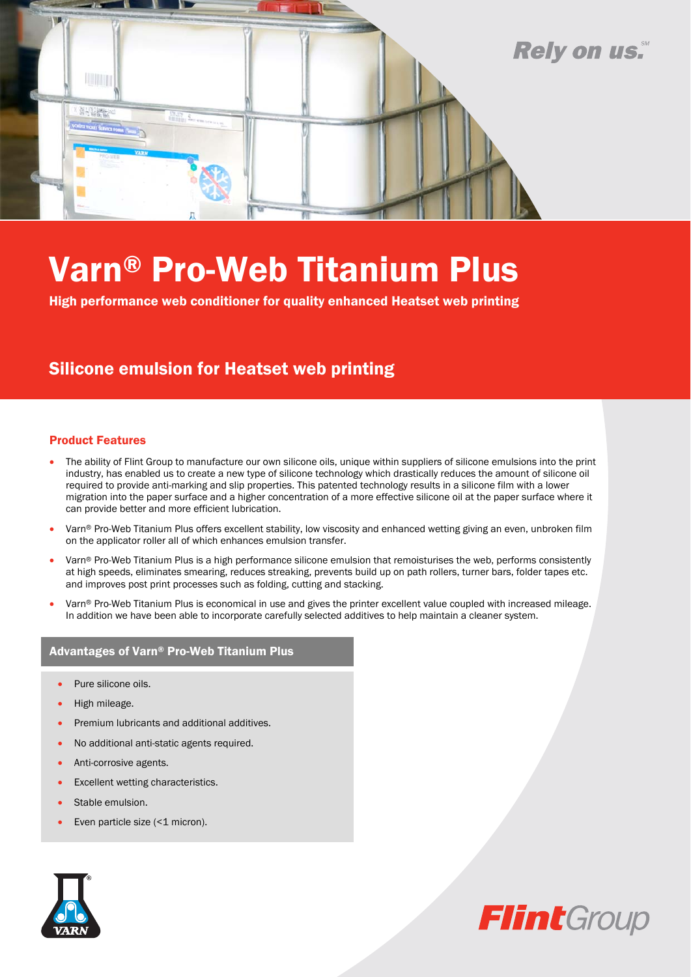

# Varn® Pro-Web Titanium Plus

High performance web conditioner for quality enhanced Heatset web printing

### Silicone emulsion for Heatset web printing

#### Product Features

- The ability of Flint Group to manufacture our own silicone oils, unique within suppliers of silicone emulsions into the print industry, has enabled us to create a new type of silicone technology which drastically reduces the amount of silicone oil required to provide anti-marking and slip properties. This patented technology results in a silicone film with a lower migration into the paper surface and a higher concentration of a more effective silicone oil at the paper surface where it can provide better and more efficient lubrication.
- Varn® Pro-Web Titanium Plus offers excellent stability, low viscosity and enhanced wetting giving an even, unbroken film on the applicator roller all of which enhances emulsion transfer.
- Varn® Pro-Web Titanium Plus is a high performance silicone emulsion that remoisturises the web, performs consistently at high speeds, eliminates smearing, reduces streaking, prevents build up on path rollers, turner bars, folder tapes etc. and improves post print processes such as folding, cutting and stacking.
- Varn® Pro-Web Titanium Plus is economical in use and gives the printer excellent value coupled with increased mileage. In addition we have been able to incorporate carefully selected additives to help maintain a cleaner system.

#### Advantages of Varn® Pro-Web Titanium Plus

- Pure silicone oils.
- High mileage.
- Premium lubricants and additional additives.
- No additional anti-static agents required.
- Anti-corrosive agents.
- Excellent wetting characteristics.
- Stable emulsion.
- Even particle size (<1 micron).